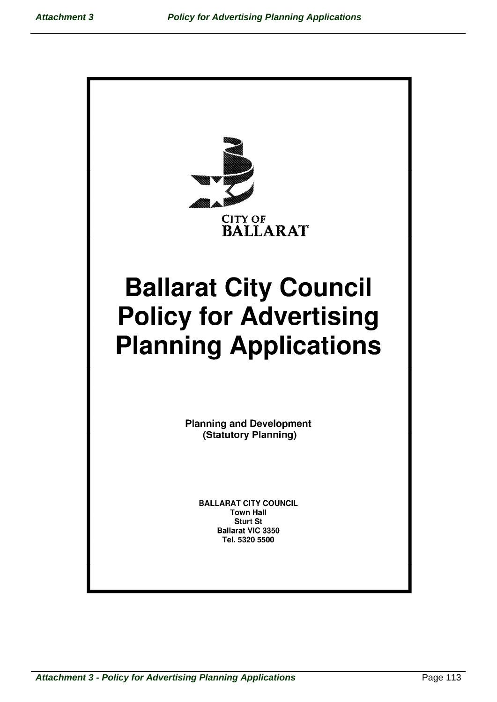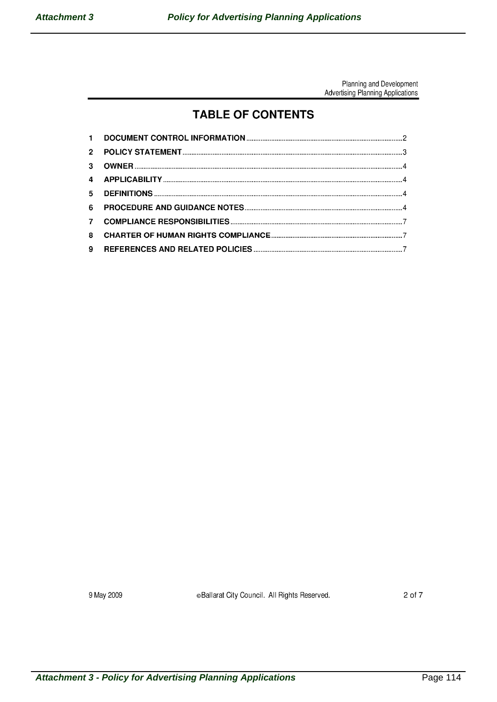## **TABLE OF CONTENTS**

| 6 |  |
|---|--|
|   |  |
|   |  |
|   |  |

9 May 2009

**Ballarat City Council. All Rights Reserved.**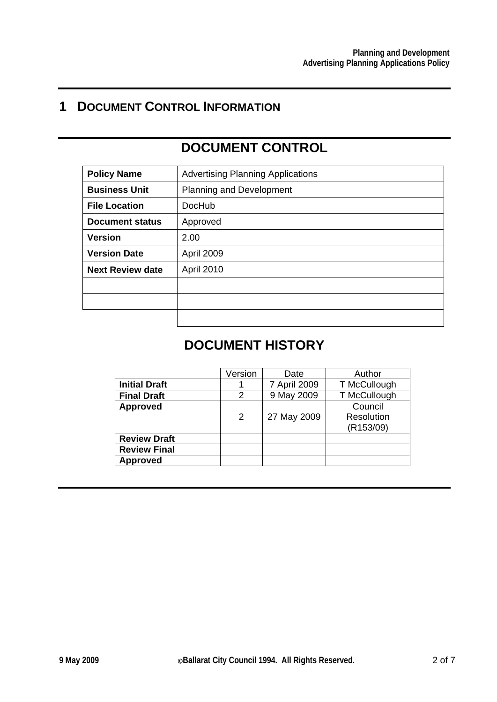# **1 DOCUMENT CONTROL INFORMATION**

# **DOCUMENT CONTROL**

| <b>Policy Name</b>      | <b>Advertising Planning Applications</b> |
|-------------------------|------------------------------------------|
| <b>Business Unit</b>    | <b>Planning and Development</b>          |
| <b>File Location</b>    | <b>DocHub</b>                            |
| <b>Document status</b>  | Approved                                 |
| <b>Version</b>          | 2.00                                     |
| <b>Version Date</b>     | April 2009                               |
| <b>Next Review date</b> | April 2010                               |
|                         |                                          |
|                         |                                          |
|                         |                                          |

# **DOCUMENT HISTORY**

|                      | Version        | Date         | Author                  |
|----------------------|----------------|--------------|-------------------------|
| <b>Initial Draft</b> |                | 7 April 2009 | T McCullough            |
| <b>Final Draft</b>   | 2              | 9 May 2009   | T McCullough            |
| <b>Approved</b>      |                |              | Council                 |
|                      | $\overline{2}$ | 27 May 2009  | Resolution<br>(R153/09) |
| <b>Review Draft</b>  |                |              |                         |
| <b>Review Final</b>  |                |              |                         |
| <b>Approved</b>      |                |              |                         |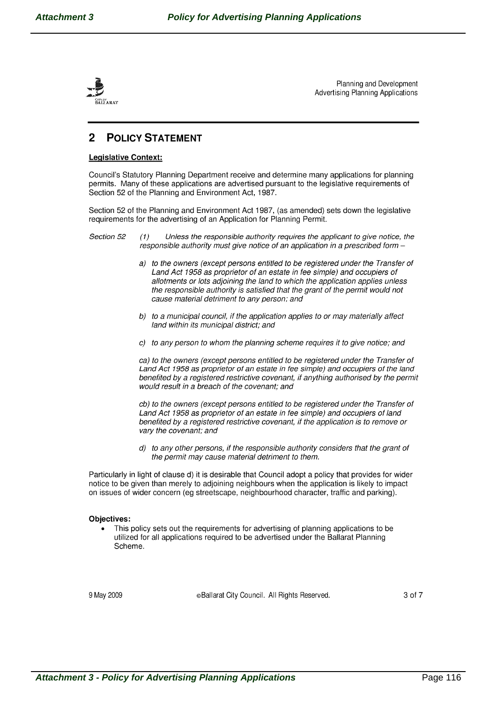

#### 2 **POLICY STATEMENT**

## **Legislative Context:**

Council's Statutory Planning Department receive and determine many applications for planning permits. Many of these applications are advertised pursuant to the legislative requirements of Section 52 of the Planning and Environment Act, 1987.

Section 52 of the Planning and Environment Act 1987, (as amended) sets down the legislative requirements for the advertising of an Application for Planning Permit.

#### Section 52 Unless the responsible authority requires the applicant to give notice, the  $(1)$ responsible authority must give notice of an application in a prescribed form -

- a) to the owners (except persons entitled to be registered under the Transfer of Land Act 1958 as proprietor of an estate in fee simple) and occupiers of allotments or lots adjoining the land to which the application applies unless the responsible authority is satisfied that the grant of the permit would not cause material detriment to any person; and
- b) to a municipal council, if the application applies to or may materially affect land within its municipal district; and
- c) to any person to whom the planning scheme requires it to give notice; and

ca) to the owners (except persons entitled to be registered under the Transfer of Land Act 1958 as proprietor of an estate in fee simple) and occupiers of the land benefited by a registered restrictive covenant, if anything authorised by the permit would result in a breach of the covenant; and

cb) to the owners (except persons entitled to be registered under the Transfer of Land Act 1958 as proprietor of an estate in fee simple) and occupiers of land benefited by a registered restrictive covenant, if the application is to remove or vary the covenant; and

d) to any other persons, if the responsible authority considers that the grant of the permit may cause material detriment to them.

Particularly in light of clause d) it is desirable that Council adopt a policy that provides for wider notice to be given than merely to adjoining neighbours when the application is likely to impact on issues of wider concern (eg streetscape, neighbourhood character, traffic and parking).

### **Objectives:**

This policy sets out the requirements for advertising of planning applications to be utilized for all applications required to be advertised under the Ballarat Planning Scheme.

9 May 2009

eBallarat City Council. All Rights Reserved.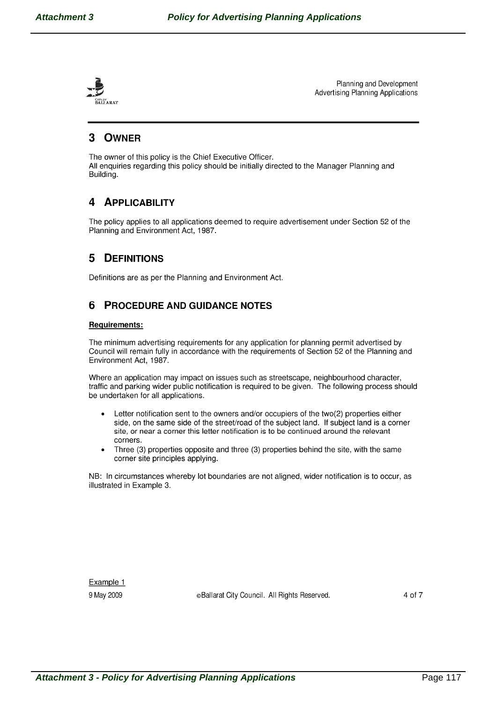

### **OWNER** 3

The owner of this policy is the Chief Executive Officer. All enquiries regarding this policy should be initially directed to the Manager Planning and Building.

### **APPLICABILITY** 4

The policy applies to all applications deemed to require advertisement under Section 52 of the Planning and Environment Act, 1987.

#### 5 **DEFINITIONS**

Definitions are as per the Planning and Environment Act.

#### **PROCEDURE AND GUIDANCE NOTES** 6

## **Requirements:**

The minimum advertising requirements for any application for planning permit advertised by Council will remain fully in accordance with the requirements of Section 52 of the Planning and Environment Act, 1987.

Where an application may impact on issues such as streetscape, neighbourhood character, traffic and parking wider public notification is required to be given. The following process should be undertaken for all applications.

- Letter notification sent to the owners and/or occupiers of the two(2) properties either side, on the same side of the street/road of the subject land. If subject land is a corner site, or near a corner this letter notification is to be continued around the relevant corners.
- Three (3) properties opposite and three (3) properties behind the site, with the same  $\bullet$ corner site principles applying.

NB: In circumstances whereby lot boundaries are not aligned, wider notification is to occur, as illustrated in Example 3.

Example 1 9 May 2009

eBallarat City Council. All Rights Reserved.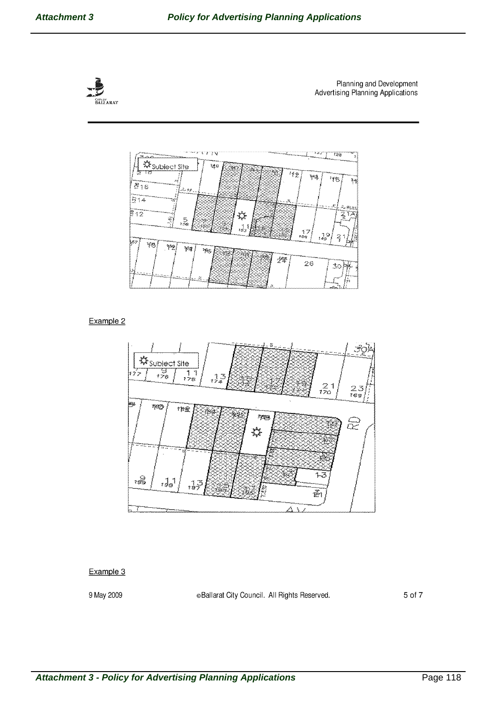



Example 2



## Example 3

9 May 2009

**Ballarat City Council. All Rights Reserved.**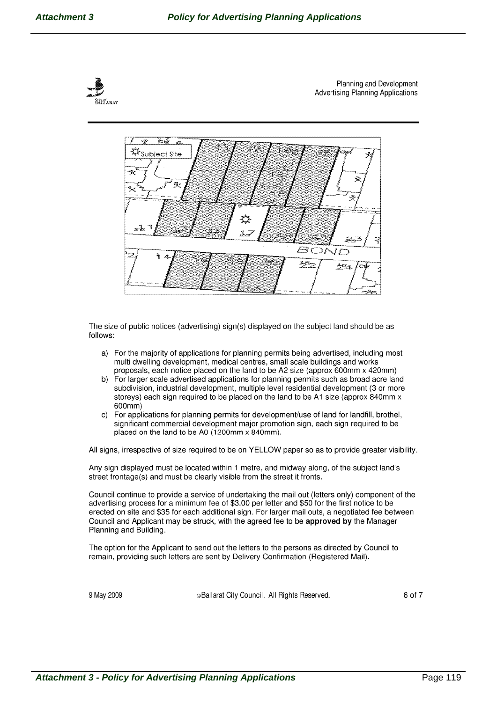



The size of public notices (advertising) sign(s) displayed on the subject land should be as follows:

- a) For the majority of applications for planning permits being advertised, including most multi dwelling development, medical centres, small scale buildings and works proposals, each notice placed on the land to be A2 size (approx 600mm x 420mm)
- b) For larger scale advertised applications for planning permits such as broad acre land subdivision, industrial development, multiple level residential development (3 or more storeys) each sign required to be placed on the land to be A1 size (approx 840mm x  $600mm)$
- c) For applications for planning permits for development/use of land for landfill, brothel, significant commercial development major promotion sign, each sign required to be placed on the land to be A0 (1200mm x 840mm).

All signs, irrespective of size required to be on YELLOW paper so as to provide greater visibility.

Any sign displayed must be located within 1 metre, and midway along, of the subject land's street frontage(s) and must be clearly visible from the street it fronts.

Council continue to provide a service of undertaking the mail out (letters only) component of the advertising process for a minimum fee of \$3.00 per letter and \$50 for the first notice to be erected on site and \$35 for each additional sign. For larger mail outs, a negotiated fee between Council and Applicant may be struck, with the agreed fee to be approved by the Manager Planning and Building.

The option for the Applicant to send out the letters to the persons as directed by Council to remain, providing such letters are sent by Delivery Confirmation (Registered Mail).

9 May 2009

eBallarat City Council. All Rights Reserved.